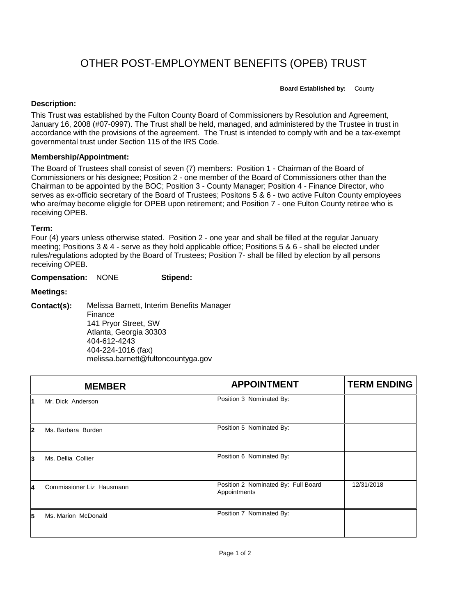# OTHER POST-EMPLOYMENT BENEFITS (OPEB) TRUST

**Board Established by:** County

### **Description:**

This Trust was established by the Fulton County Board of Commissioners by Resolution and Agreement, January 16, 2008 (#07-0997). The Trust shall be held, managed, and administered by the Trustee in trust in accordance with the provisions of the agreement. The Trust is intended to comply with and be a tax-exempt governmental trust under Section 115 of the IRS Code.

### **Membership/Appointment:**

The Board of Trustees shall consist of seven (7) members: Position 1 - Chairman of the Board of Commissioners or his designee; Position 2 - one member of the Board of Commissioners other than the Chairman to be appointed by the BOC; Position 3 - County Manager; Position 4 - Finance Director, who serves as ex-officio secretary of the Board of Trustees; Positons 5 & 6 - two active Fulton County employees who are/may become eligigle for OPEB upon retirement; and Position 7 - one Fulton County retiree who is receiving OPEB.

### **Term:**

Four (4) years unless otherwise stated. Position 2 - one year and shall be filled at the regular January meeting; Positions 3 & 4 - serve as they hold applicable office; Positions 5 & 6 - shall be elected under rules/regulations adopted by the Board of Trustees; Position 7- shall be filled by election by all persons receiving OPEB.

**Compensation:** NONE **Stipend:**

## **Meetings:**

**Contact(s):** Melissa Barnett, Interim Benefits Manager Finance 141 Pryor Street, SW Atlanta, Georgia 30303 404-612-4243 404-224-1016 (fax) melissa.barnett@fultoncountyga.gov

|    | <b>MEMBER</b>             | <b>APPOINTMENT</b>                                  | <b>TERM ENDING</b> |
|----|---------------------------|-----------------------------------------------------|--------------------|
| 1  | Mr. Dick Anderson         | Position 3 Nominated By:                            |                    |
| 12 | Ms. Barbara Burden        | Position 5 Nominated By:                            |                    |
| 3  | Ms. Dellia Collier        | Position 6 Nominated By:                            |                    |
| 4  | Commissioner Liz Hausmann | Position 2 Nominated By: Full Board<br>Appointments | 12/31/2018         |
| 5  | Ms. Marion McDonald       | Position 7 Nominated By:                            |                    |